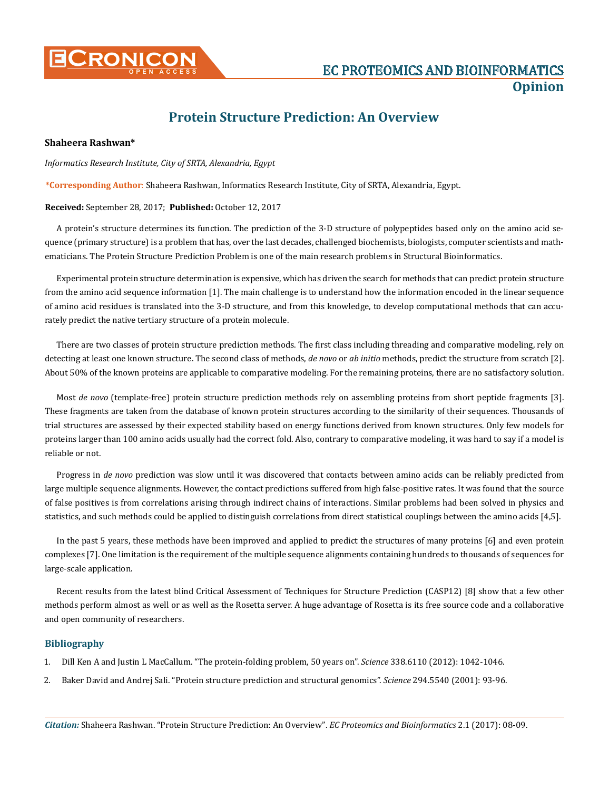

# **Protein Structure Prediction: An Overview**

## **Shaheera Rashwan\***

### *Informatics Research Institute, City of SRTA, Alexandria, Egypt*

**\*Corresponding Author**: Shaheera Rashwan, Informatics Research Institute, City of SRTA, Alexandria, Egypt.

### **Received:** September 28, 2017; **Published:** October 12, 2017

A protein's structure determines its function. The prediction of the 3-D structure of polypeptides based only on the amino acid sequence (primary structure) is a problem that has, over the last decades, challenged biochemists, biologists, computer scientists and mathematicians. The Protein Structure Prediction Problem is one of the main research problems in Structural Bioinformatics.

Experimental protein structure determination is expensive, which has driven the search for methods that can predict protein structure from the amino acid sequence information [1]. The main challenge is to understand how the information encoded in the linear sequence of amino acid residues is translated into the 3-D structure, and from this knowledge, to develop computational methods that can accurately predict the native tertiary structure of a protein molecule.

There are two classes of protein structure prediction methods. The first class including threading and comparative modeling, rely on detecting at least one known structure. The second class of methods, *de novo* or *ab initio* methods, predict the structure from scratch [2]. About 50% of the known proteins are applicable to comparative modeling. For the remaining proteins, there are no satisfactory solution.

Most *de novo* (template-free) protein structure prediction methods rely on assembling proteins from short peptide fragments [3]. These fragments are taken from the database of known protein structures according to the similarity of their sequences. Thousands of trial structures are assessed by their expected stability based on energy functions derived from known structures. Only few models for proteins larger than 100 amino acids usually had the correct fold. Also, contrary to comparative modeling, it was hard to say if a model is reliable or not.

Progress in *de novo* prediction was slow until it was discovered that contacts between amino acids can be reliably predicted from large multiple sequence alignments. However, the contact predictions suffered from high false-positive rates. It was found that the source of false positives is from correlations arising through indirect chains of interactions. Similar problems had been solved in physics and statistics, and such methods could be applied to distinguish correlations from direct statistical couplings between the amino acids [4,5].

In the past 5 years, these methods have been improved and applied to predict the structures of many proteins [6] and even protein complexes [7]. One limitation is the requirement of the multiple sequence alignments containing hundreds to thousands of sequences for large-scale application.

Recent results from the latest blind Critical Assessment of Techniques for Structure Prediction (CASP12) [8] show that a few other methods perform almost as well or as well as the Rosetta server. A huge advantage of Rosetta is its free source code and a collaborative and open community of researchers.

## **Bibliography**

- 1. [Dill Ken A and Justin L MacCallum. "The protein-folding problem, 50 years on".](https://www.ncbi.nlm.nih.gov/pubmed/23180855) *Science* 338.6110 (2012): 1042-1046.
- 2. [Baker David and Andrej Sali. "Protein structure prediction and structural genomics".](https://www.ncbi.nlm.nih.gov/pubmed/11588250) *Science* 294.5540 (2001): 93-96.